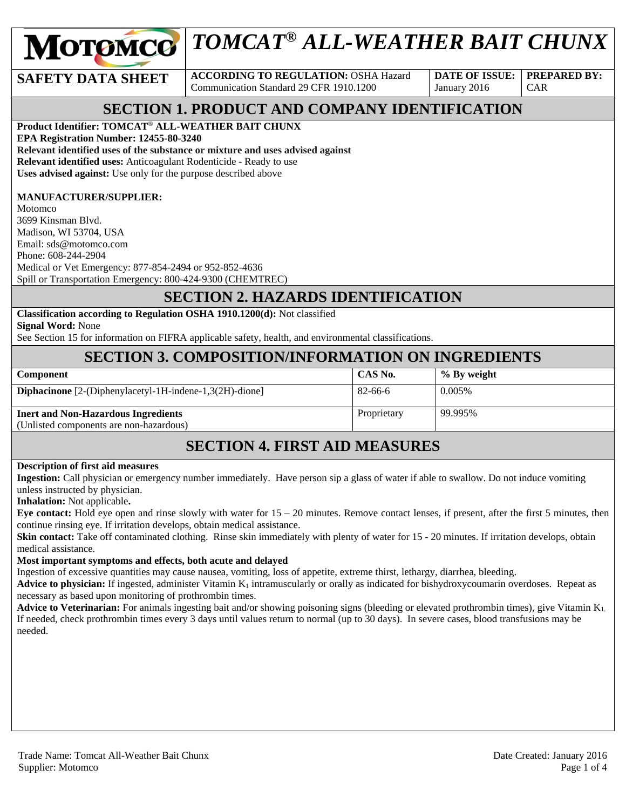

# *TOMCAT® ALL-WEATHER BAIT CHUNX*

**SAFETY DATA SHEET** ACCORDING TO REGULATION: OSHA Hazard Communication Standard 29 CFR 1910.1200

**DATE OF ISSUE:**  January 2016

**PREPARED BY:**  CAR

# **SECTION 1. PRODUCT AND COMPANY IDENTIFICATION**

**Product Identifier: TOMCAT**® **ALL-WEATHER BAIT CHUNX EPA Registration Number: 12455-80-3240 Relevant identified uses of the substance or mixture and uses advised against Relevant identified uses:** Anticoagulant Rodenticide - Ready to use **Uses advised against:** Use only for the purpose described above

### **MANUFACTURER/SUPPLIER:**

Motomco 3699 Kinsman Blvd. Madison, WI 53704, USA Email: sds@motomco.com Phone: 608-244-2904 Medical or Vet Emergency: 877-854-2494 or 952-852-4636 Spill or Transportation Emergency: 800-424-9300 (CHEMTREC)

### **SECTION 2. HAZARDS IDENTIFICATION**

**Classification according to Regulation OSHA 1910.1200(d):** Not classified

**Signal Word:** None

See Section 15 for information on FIFRA applicable safety, health, and environmental classifications.

# **SECTION 3. COMPOSITION/INFORMATION ON INGREDIENTS**

| <b>Component</b>                                                                      | CAS No.     | % By weight |
|---------------------------------------------------------------------------------------|-------------|-------------|
| <b>Diphacinone</b> $[2-(Diphenylacevel-1H-indense-1,3(2H)-dione]$                     | 82-66-6     | 0.005%      |
| <b>Inert and Non-Hazardous Ingredients</b><br>(Unlisted components are non-hazardous) | Proprietary | 99.995%     |

# **SECTION 4. FIRST AID MEASURES**

#### **Description of first aid measures**

**Ingestion:** Call physician or emergency number immediately. Have person sip a glass of water if able to swallow. Do not induce vomiting unless instructed by physician.

**Inhalation:** Not applicable**.** 

**Eye contact:** Hold eye open and rinse slowly with water for 15 – 20 minutes. Remove contact lenses, if present, after the first 5 minutes, then continue rinsing eye. If irritation develops, obtain medical assistance.

**Skin contact:** Take off contaminated clothing. Rinse skin immediately with plenty of water for 15 - 20 minutes. If irritation develops, obtain medical assistance.

#### **Most important symptoms and effects, both acute and delayed**

Ingestion of excessive quantities may cause nausea, vomiting, loss of appetite, extreme thirst, lethargy, diarrhea, bleeding.

**Advice to physician:** If ingested, administer Vitamin  $K_1$  intramuscularly or orally as indicated for bishydroxycoumarin overdoses. Repeat as necessary as based upon monitoring of prothrombin times.

Advice to Veterinarian: For animals ingesting bait and/or showing poisoning signs (bleeding or elevated prothrombin times), give Vitamin K<sub>1</sub>. If needed, check prothrombin times every 3 days until values return to normal (up to 30 days). In severe cases, blood transfusions may be needed.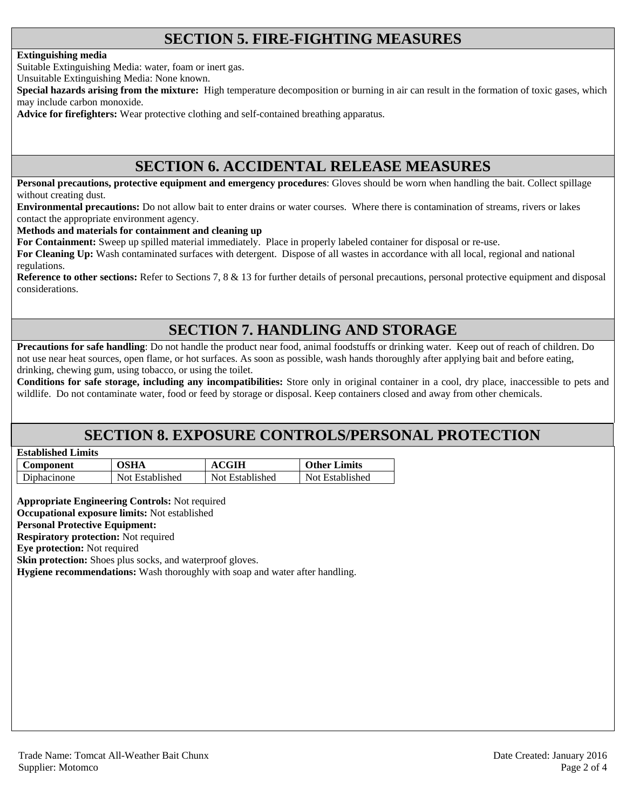# **SECTION 5. FIRE-FIGHTING MEASURES**

#### **Extinguishing media**

Suitable Extinguishing Media: water, foam or inert gas.

Unsuitable Extinguishing Media: None known.

**Special hazards arising from the mixture:** High temperature decomposition or burning in air can result in the formation of toxic gases, which may include carbon monoxide.

**Advice for firefighters:** Wear protective clothing and self-contained breathing apparatus.

### **SECTION 6. ACCIDENTAL RELEASE MEASURES**

**Personal precautions, protective equipment and emergency procedures**: Gloves should be worn when handling the bait. Collect spillage without creating dust.

**Environmental precautions:** Do not allow bait to enter drains or water courses. Where there is contamination of streams, rivers or lakes contact the appropriate environment agency.

**Methods and materials for containment and cleaning up**

**For Containment:** Sweep up spilled material immediately. Place in properly labeled container for disposal or re-use.

**For Cleaning Up:** Wash contaminated surfaces with detergent. Dispose of all wastes in accordance with all local, regional and national regulations.

**Reference to other sections:** Refer to Sections 7, 8 & 13 for further details of personal precautions, personal protective equipment and disposal considerations.

# **SECTION 7. HANDLING AND STORAGE**

**Precautions for safe handling**: Do not handle the product near food, animal foodstuffs or drinking water. Keep out of reach of children. Do not use near heat sources, open flame, or hot surfaces. As soon as possible, wash hands thoroughly after applying bait and before eating, drinking, chewing gum, using tobacco, or using the toilet.

**Conditions for safe storage, including any incompatibilities:** Store only in original container in a cool, dry place, inaccessible to pets and wildlife. Do not contaminate water, food or feed by storage or disposal. Keep containers closed and away from other chemicals.

# **SECTION 8. EXPOSURE CONTROLS/PERSONAL PROTECTION**

| <b>Established Limits</b> |  |
|---------------------------|--|
|                           |  |

| Component   | OSHA            | <b>ACGIH</b>    | <b>Other Limits</b> |
|-------------|-----------------|-----------------|---------------------|
| Diphacinone | Not Established | Not Established | Not Established     |

**Appropriate Engineering Controls:** Not required **Occupational exposure limits:** Not established **Personal Protective Equipment: Respiratory protection:** Not required

**Eye protection:** Not required

**Skin protection:** Shoes plus socks, and waterproof gloves.

**Hygiene recommendations:** Wash thoroughly with soap and water after handling.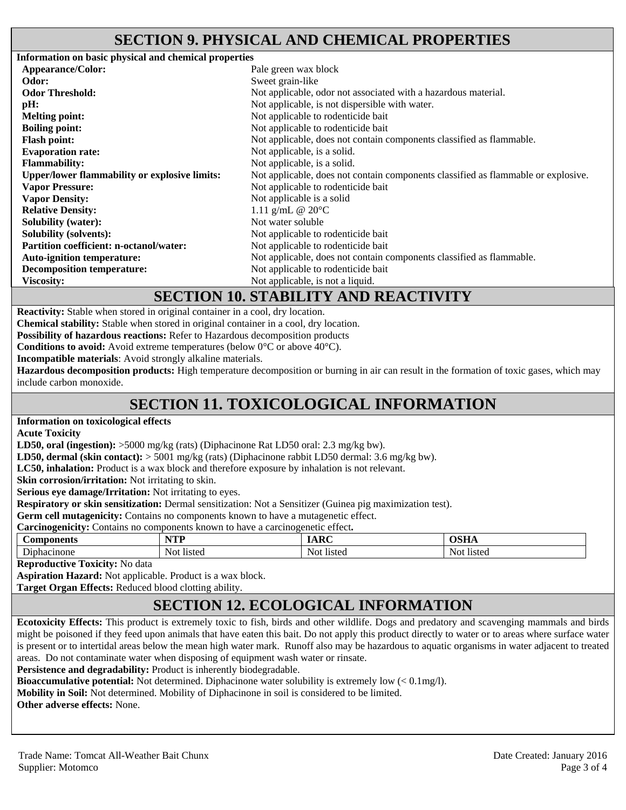### **SECTION 9. PHYSICAL AND CHEMICAL PROPERTIES**

**Information on basic physical and chemical properties Appearance/Color:** Pale green wax block **Odor:** Sweet grain-like **Odor Threshold: Not** applicable, odor not associated with a hazardous material. **pH:** Not applicable, is not dispersible with water. **Melting point: Not** applicable to rodenticide bait **Boiling point:** Not applicable to rodenticide bait **Flash point:** Not applicable, does not contain components classified as flammable. **Evaporation rate:** Not applicable, is a solid. **Flammability:** Not applicable, is a solid. **Upper/lower flammability or explosive limits:** Not applicable, does not contain components classified as flammable or explosive. **Vapor Pressure: Vapor Density:**  Not applicable to rodenticide bait Not applicable is a solid **Relative Density:**  $1.11 \text{ g/mL} @ 20^{\circ} \text{C}$ **Solubility (water):** Not water soluble **Solubility (solvents): Not applicable to rodenticide bait Partition coefficient: n-octanol/water:** Not applicable to rodenticide bait **Auto-ignition temperature:** Not applicable, does not contain components classified as flammable. **Decomposition temperature:** Not applicable to rodenticide bait **Viscosity:** Not applicable, is not a liquid.

### **SECTION 10. STABILITY AND REACTIVITY**

**Reactivity:** Stable when stored in original container in a cool, dry location.

**Chemical stability:** Stable when stored in original container in a cool, dry location.

**Possibility of hazardous reactions:** Refer to Hazardous decomposition products

**Conditions to avoid:** Avoid extreme temperatures (below 0°C or above 40°C).

**Incompatible materials**: Avoid strongly alkaline materials.

**Hazardous decomposition products:** High temperature decomposition or burning in air can result in the formation of toxic gases, which may include carbon monoxide.

# **SECTION 11. TOXICOLOGICAL INFORMATION**

#### **Information on toxicological effects**

**Acute Toxicity** 

**LD50, oral (ingestion):** >5000 mg/kg (rats) (Diphacinone Rat LD50 oral: 2.3 mg/kg bw).

**LD50, dermal (skin contact):** > 5001 mg/kg (rats) (Diphacinone rabbit LD50 dermal: 3.6 mg/kg bw).

**LC50, inhalation:** Product is a wax block and therefore exposure by inhalation is not relevant.

**Skin corrosion/irritation:** Not irritating to skin.

**Serious eye damage/Irritation:** Not irritating to eyes.

**Respiratory or skin sensitization:** Dermal sensitization: Not a Sensitizer (Guinea pig maximization test).

**Germ cell mutagenicity:** Contains no components known to have a mutagenetic effect.

**Carcinogenicity:** Contains no components known to have a carcinogenetic effect**.** 

| $\sqrt{2}$<br>$\sim$ $\sim$ $\sim$ $\sim$ $\sim$<br>$\cup$ Or | <b>AILLE</b><br>.        | $\mathbf{r}$<br>- | $\sim$ $\sim$ $\sim$<br>. |
|---------------------------------------------------------------|--------------------------|-------------------|---------------------------|
| $\sim$<br>none<br>)1r<br>້                                    | I1012<br>- Not<br>115.UU | listec<br>NΩ      | 'isted<br>NI.<br>ч.<br>.  |

**Reproductive Toxicity:** No data

**Aspiration Hazard:** Not applicable. Product is a wax block.

**Target Organ Effects:** Reduced blood clotting ability.

# **SECTION 12. ECOLOGICAL INFORMATION**

**Ecotoxicity Effects:** This product is extremely toxic to fish, birds and other wildlife. Dogs and predatory and scavenging mammals and birds might be poisoned if they feed upon animals that have eaten this bait. Do not apply this product directly to water or to areas where surface water is present or to intertidal areas below the mean high water mark. Runoff also may be hazardous to aquatic organisms in water adjacent to treated areas. Do not contaminate water when disposing of equipment wash water or rinsate.

**Persistence and degradability:** Product is inherently biodegradable.

**Bioaccumulative potential:** Not determined. Diphacinone water solubility is extremely low  $(< 0.1 \text{mg/l})$ .

**Mobility in Soil:** Not determined. Mobility of Diphacinone in soil is considered to be limited.

**Other adverse effects:** None.